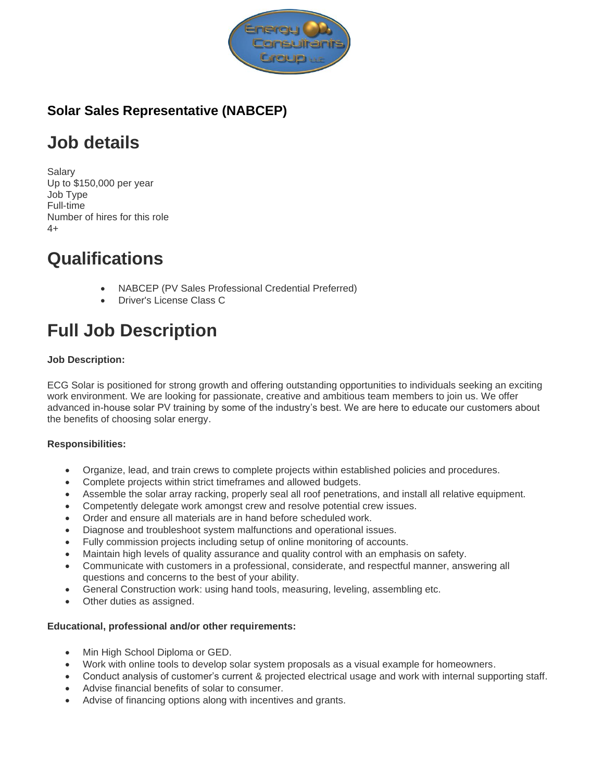

## **Solar Sales Representative (NABCEP)**

# **Job details**

Salary Up to \$150,000 per year Job Type Full-time Number of hires for this role  $4+$ 

# **Qualifications**

- NABCEP (PV Sales Professional Credential Preferred)
- Driver's License Class C

# **Full Job Description**

### **Job Description:**

ECG Solar is positioned for strong growth and offering outstanding opportunities to individuals seeking an exciting work environment. We are looking for passionate, creative and ambitious team members to join us. We offer advanced in-house solar PV training by some of the industry's best. We are here to educate our customers about the benefits of choosing solar energy.

#### **Responsibilities:**

- Organize, lead, and train crews to complete projects within established policies and procedures.
- Complete projects within strict timeframes and allowed budgets.
- Assemble the solar array racking, properly seal all roof penetrations, and install all relative equipment.
- Competently delegate work amongst crew and resolve potential crew issues.
- Order and ensure all materials are in hand before scheduled work.
- Diagnose and troubleshoot system malfunctions and operational issues.
- Fully commission projects including setup of online monitoring of accounts.
- Maintain high levels of quality assurance and quality control with an emphasis on safety.
- Communicate with customers in a professional, considerate, and respectful manner, answering all questions and concerns to the best of your ability.
- General Construction work: using hand tools, measuring, leveling, assembling etc.
- Other duties as assigned.

#### **Educational, professional and/or other requirements:**

- Min High School Diploma or GED.
- Work with online tools to develop solar system proposals as a visual example for homeowners.
- Conduct analysis of customer's current & projected electrical usage and work with internal supporting staff.
- Advise financial benefits of solar to consumer.
- Advise of financing options along with incentives and grants.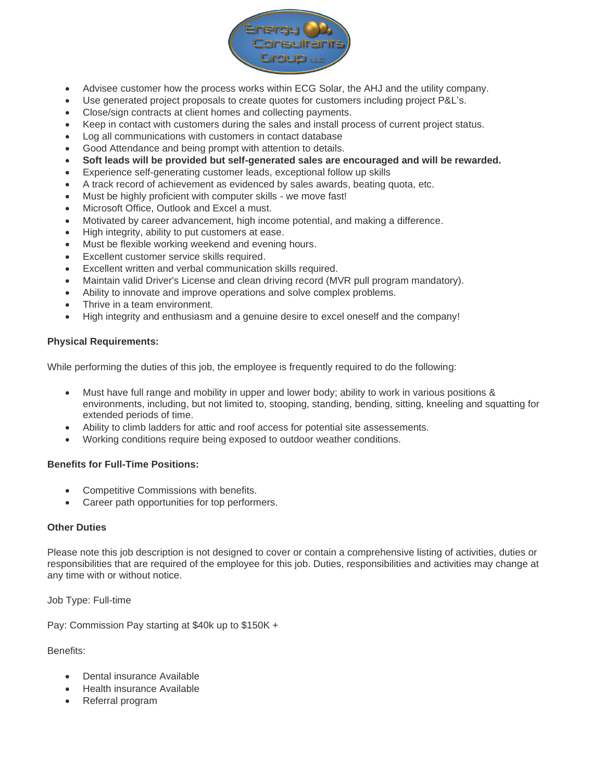

- Advisee customer how the process works within ECG Solar, the AHJ and the utility company.
- Use generated project proposals to create quotes for customers including project P&L's.
- Close/sign contracts at client homes and collecting payments.
- Keep in contact with customers during the sales and install process of current project status.
- Log all communications with customers in contact database
- Good Attendance and being prompt with attention to details.
- **Soft leads will be provided but self-generated sales are encouraged and will be rewarded.**
- Experience self-generating customer leads, exceptional follow up skills
- A track record of achievement as evidenced by sales awards, beating quota, etc.
- Must be highly proficient with computer skills we move fast!
- Microsoft Office, Outlook and Excel a must.
- Motivated by career advancement, high income potential, and making a difference.
- High integrity, ability to put customers at ease.
- Must be flexible working weekend and evening hours.
- Excellent customer service skills required.
- Excellent written and verbal communication skills required.
- Maintain valid Driver's License and clean driving record (MVR pull program mandatory).
- Ability to innovate and improve operations and solve complex problems.
- Thrive in a team environment.
- High integrity and enthusiasm and a genuine desire to excel oneself and the company!

#### **Physical Requirements:**

While performing the duties of this job, the employee is frequently required to do the following:

- Must have full range and mobility in upper and lower body; ability to work in various positions & environments, including, but not limited to, stooping, standing, bending, sitting, kneeling and squatting for extended periods of time.
- Ability to climb ladders for attic and roof access for potential site assessements.
- Working conditions require being exposed to outdoor weather conditions.

#### **Benefits for Full-Time Positions:**

- Competitive Commissions with benefits.
- Career path opportunities for top performers.

#### **Other Duties**

Please note this job description is not designed to cover or contain a comprehensive listing of activities, duties or responsibilities that are required of the employee for this job. Duties, responsibilities and activities may change at any time with or without notice.

Job Type: Full-time

Pay: Commission Pay starting at \$40k up to \$150K +

Benefits:

- Dental insurance Available
- Health insurance Available
- Referral program